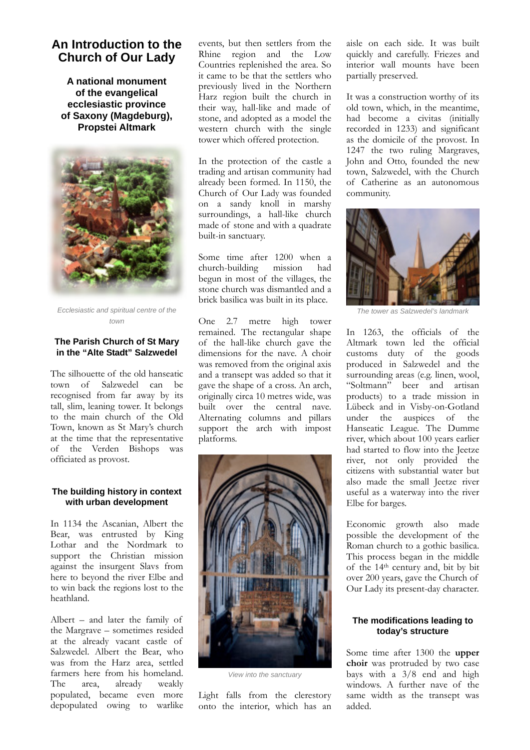# **An Introduction to the Church of Our Lady**

**A national monument of the evangelical ecclesiastic province of Saxony (Magdeburg), Propstei Altmark** 



*Ecclesiastic and spiritual centre of the town* 

### **The Parish Church of St Mary in the "Alte Stadt" Salzwedel**

The silhouette of the old hanseatic town of Salzwedel can be recognised from far away by its tall, slim, leaning tower. It belongs to the main church of the Old Town, known as St Mary's church at the time that the representative of the Verden Bishops was officiated as provost.

# **The building history in context with urban development**

In 1134 the Ascanian, Albert the Bear, was entrusted by King Lothar and the Nordmark to support the Christian mission against the insurgent Slavs from here to beyond the river Elbe and to win back the regions lost to the heathland.

Albert – and later the family of the Margrave – sometimes resided at the already vacant castle of Salzwedel. Albert the Bear, who was from the Harz area, settled farmers here from his homeland. The area, already weakly populated, became even more depopulated owing to warlike events, but then settlers from the Rhine region and the Low Countries replenished the area. So it came to be that the settlers who previously lived in the Northern Harz region built the church in their way, hall-like and made of stone, and adopted as a model the western church with the single tower which offered protection.

In the protection of the castle a trading and artisan community had already been formed. In 1150, the Church of Our Lady was founded on a sandy knoll in marshy surroundings, a hall-like church made of stone and with a quadrate built-in sanctuary.

Some time after 1200 when a church-building mission had begun in most of the villages, the stone church was dismantled and a brick basilica was built in its place.

One 2.7 metre high tower remained. The rectangular shape of the hall-like church gave the dimensions for the nave. A choir was removed from the original axis and a transept was added so that it gave the shape of a cross. An arch, originally circa 10 metres wide, was built over the central nave. Alternating columns and pillars support the arch with impost platforms.



*View into the sanctuary* 

Light falls from the clerestory onto the interior, which has an aisle on each side. It was built quickly and carefully. Friezes and interior wall mounts have been partially preserved.

It was a construction worthy of its old town, which, in the meantime, had become a civitas (initially recorded in 1233) and significant as the domicile of the provost. In 1247 the two ruling Margraves, John and Otto, founded the new town, Salzwedel, with the Church of Catherine as an autonomous community.



*The tower as Salzwedel's landmark* 

In 1263, the officials of the Altmark town led the official customs duty of the goods produced in Salzwedel and the surrounding areas (e.g. linen, wool, "Soltmann" beer and artisan products) to a trade mission in Lübeck and in Visby-on-Gotland under the auspices of the Hanseatic League. The Dumme river, which about 100 years earlier had started to flow into the Jeetze river, not only provided the citizens with substantial water but also made the small Jeetze river useful as a waterway into the river Elbe for barges.

Economic growth also made possible the development of the Roman church to a gothic basilica. This process began in the middle of the 14th century and, bit by bit over 200 years, gave the Church of Our Lady its present-day character.

# **The modifications leading to today's structure**

Some time after 1300 the **upper choir** was protruded by two case bays with a 3/8 end and high windows. A further nave of the same width as the transept was added.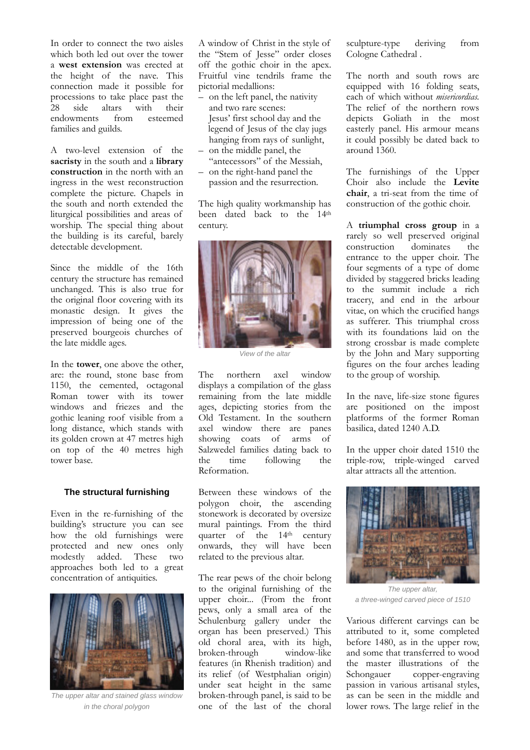In order to connect the two aisles which both led out over the tower a **west extension** was erected at the height of the nave. This connection made it possible for processions to take place past the 28 side altars with their endowments from esteemed families and guilds.

A two-level extension of the **sacristy** in the south and a **library construction** in the north with an ingress in the west reconstruction complete the picture. Chapels in the south and north extended the liturgical possibilities and areas of worship. The special thing about the building is its careful, barely detectable development.

Since the middle of the 16th century the structure has remained unchanged. This is also true for the original floor covering with its monastic design. It gives the impression of being one of the preserved bourgeois churches of the late middle ages.

In the **tower**, one above the other, are: the round, stone base from 1150, the cemented, octagonal Roman tower with its tower windows and friezes and the gothic leaning roof visible from a long distance, which stands with its golden crown at 47 metres high on top of the 40 metres high tower base.

#### **The structural furnishing**

Even in the re-furnishing of the building's structure you can see how the old furnishings were protected and new ones only modestly added. These two approaches both led to a great concentration of antiquities.



*The upper altar and stained glass window in the choral polygon* 

A window of Christ in the style of the "Stem of Jesse" order closes off the gothic choir in the apex. Fruitful vine tendrils frame the pictorial medallions:

- on the left panel, the nativity and two rare scenes: Jesus' first school day and the legend of Jesus of the clay jugs hanging from rays of sunlight,
- on the middle panel, the "antecessors" of the Messiah, – on the right-hand panel the
- passion and the resurrection.

The high quality workmanship has been dated back to the 14<sup>th</sup> century.



*View of the altar*

The northern axel window displays a compilation of the glass remaining from the late middle ages, depicting stories from the Old Testament. In the southern axel window there are panes showing coats of arms of Salzwedel families dating back to the time following the Reformation.

Between these windows of the polygon choir, the ascending stonework is decorated by oversize mural paintings. From the third quarter of the 14<sup>th</sup> century onwards, they will have been related to the previous altar.

The rear pews of the choir belong to the original furnishing of the upper choir... (From the front pews, only a small area of the Schulenburg gallery under the organ has been preserved.) This old choral area, with its high, broken-through window-like features (in Rhenish tradition) and its relief (of Westphalian origin) under seat height in the same broken-through panel, is said to be one of the last of the choral

sculpture-type deriving from Cologne Cathedral .

The north and south rows are equipped with 16 folding seats, each of which without *misericordias.* The relief of the northern rows depicts Goliath in the most easterly panel. His armour means it could possibly be dated back to around 1360.

The furnishings of the Upper Choir also include the **Levite chair**, a tri-seat from the time of construction of the gothic choir.

A **triumphal cross group** in a rarely so well preserved original construction dominates the entrance to the upper choir. The four segments of a type of dome divided by staggered bricks leading to the summit include a rich tracery, and end in the arbour vitae, on which the crucified hangs as sufferer. This triumphal cross with its foundations laid on the strong crossbar is made complete by the John and Mary supporting figures on the four arches leading to the group of worship.

In the nave, life-size stone figures are positioned on the impost platforms of the former Roman basilica, dated 1240 A.D.

In the upper choir dated 1510 the triple-row, triple-winged carved altar attracts all the attention.



*The upper altar, a three-winged carved piece of 1510* 

Various different carvings can be attributed to it, some completed before 1480, as in the upper row, and some that transferred to wood the master illustrations of the Schongauer copper-engraving passion in various artisanal styles, as can be seen in the middle and lower rows. The large relief in the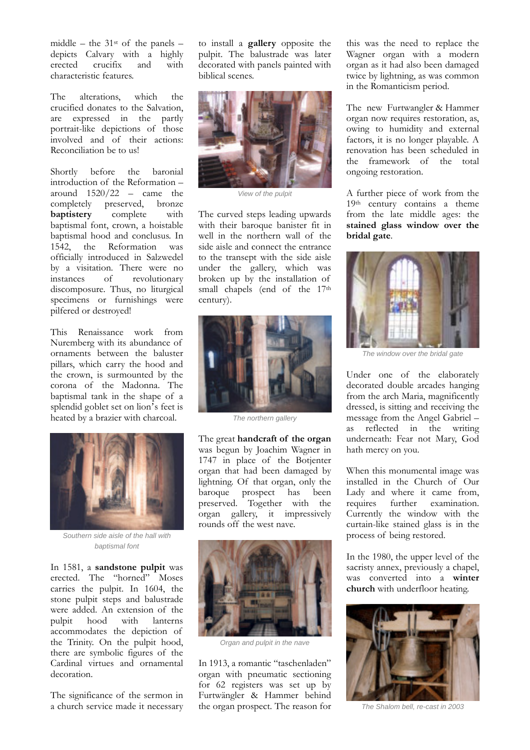middle – the  $31<sup>st</sup>$  of the panels – depicts Calvary with a highly erected crucifix and with characteristic features.

The alterations, which the crucified donates to the Salvation, are expressed in the partly portrait-like depictions of those involved and of their actions: Reconciliation be to us!

Shortly before the baronial introduction of the Reformation – around  $1520/22$  – came the completely preserved, bronze **baptistery** complete with baptismal font, crown, a hoistable baptismal hood and conclusus. In 1542, the Reformation was officially introduced in Salzwedel by a visitation. There were no<br>instances of revolutionary of revolutionary discomposure. Thus, no liturgical specimens or furnishings were pilfered or destroyed!

This Renaissance work from Nuremberg with its abundance of ornaments between the baluster pillars, which carry the hood and the crown, is surmounted by the corona of the Madonna. The baptismal tank in the shape of a splendid goblet set on lion's feet is heated by a brazier with charcoal.



*Southern side aisle of the hall with baptismal font* 

In 1581, a **sandstone pulpit** was erected. The "horned" Moses carries the pulpit. In 1604, the stone pulpit steps and balustrade were added. An extension of the pulpit hood with lanterns accommodates the depiction of the Trinity. On the pulpit hood, there are symbolic figures of the Cardinal virtues and ornamental decoration.

The significance of the sermon in a church service made it necessary

to install a **gallery** opposite the pulpit. The balustrade was later decorated with panels painted with biblical scenes.



*View of the pulpit*

The curved steps leading upwards with their baroque banister fit in well in the northern wall of the side aisle and connect the entrance to the transept with the side aisle under the gallery, which was broken up by the installation of small chapels (end of the 17<sup>th</sup> century).



*The northern gallery* 

The great **handcraft of the organ** was begun by Joachim Wagner in 1747 in place of the Botjenter organ that had been damaged by lightning. Of that organ, only the baroque prospect has been preserved. Together with the organ gallery, it impressively rounds off the west nave.



*Organ and pulpit in the nave* 

In 1913, a romantic "taschenladen" organ with pneumatic sectioning for 62 registers was set up by Furtwängler & Hammer behind the organ prospect. The reason for this was the need to replace the Wagner organ with a modern organ as it had also been damaged twice by lightning, as was common in the Romanticism period.

The new Furtwangler & Hammer organ now requires restoration, as, owing to humidity and external factors, it is no longer playable. A renovation has been scheduled in the framework of the total ongoing restoration.

A further piece of work from the 19th century contains a theme from the late middle ages: the **stained glass window over the bridal gate**.



*The window over the bridal gate* 

Under one of the elaborately decorated double arcades hanging from the arch Maria, magnificently dressed, is sitting and receiving the message from the Angel Gabriel – as reflected in the writing underneath: Fear not Mary, God hath mercy on you.

When this monumental image was installed in the Church of Our Lady and where it came from, requires further examination. Currently the window with the curtain-like stained glass is in the process of being restored.

In the 1980, the upper level of the sacristy annex, previously a chapel, was converted into a **winter church** with underfloor heating.



*The Shalom bell, re-cast in 2003*